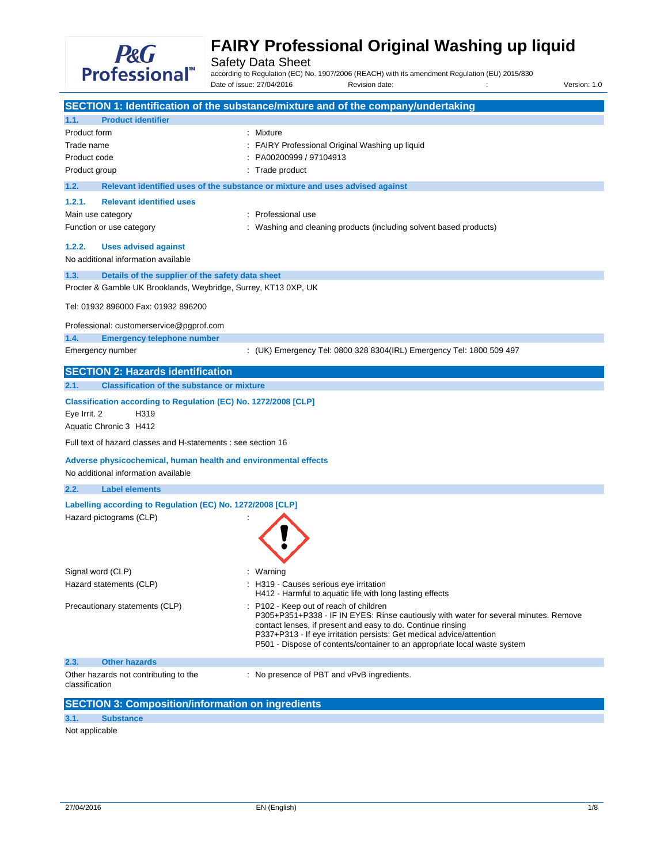

Safety Data Sheet<br>according to Regulation (EC) No. 1907/2006 (REACH) with its amendment Regulation (EU) 2015/830 Date of issue: 27/04/2016 Revision date: in the state of issue: 27/04/2016 Revision date: in the version: 1.0

|                                                                                                                                                                            | SECTION 1: Identification of the substance/mixture and of the company/undertaking                                                                                                                                                                                                                                                                |
|----------------------------------------------------------------------------------------------------------------------------------------------------------------------------|--------------------------------------------------------------------------------------------------------------------------------------------------------------------------------------------------------------------------------------------------------------------------------------------------------------------------------------------------|
| <b>Product identifier</b><br>1.1.                                                                                                                                          |                                                                                                                                                                                                                                                                                                                                                  |
| Product form<br>Trade name<br>Product code<br>Product group                                                                                                                | : Mixture<br>FAIRY Professional Original Washing up liquid<br>PA00200999 / 97104913<br>Trade product                                                                                                                                                                                                                                             |
| 1.2.                                                                                                                                                                       | Relevant identified uses of the substance or mixture and uses advised against                                                                                                                                                                                                                                                                    |
| 1.2.1.<br><b>Relevant identified uses</b><br>Main use category<br>Function or use category<br><b>Uses advised against</b><br>1.2.2.<br>No additional information available | Professional use<br>٠<br>Washing and cleaning products (including solvent based products)                                                                                                                                                                                                                                                        |
| 1.3.                                                                                                                                                                       | Details of the supplier of the safety data sheet                                                                                                                                                                                                                                                                                                 |
|                                                                                                                                                                            | Procter & Gamble UK Brooklands, Weybridge, Surrey, KT13 0XP, UK                                                                                                                                                                                                                                                                                  |
| Tel: 01932 896000 Fax: 01932 896200                                                                                                                                        |                                                                                                                                                                                                                                                                                                                                                  |
| Professional: customerservice@pgprof.com<br>1.4.                                                                                                                           | <b>Emergency telephone number</b>                                                                                                                                                                                                                                                                                                                |
| Emergency number                                                                                                                                                           | : (UK) Emergency Tel: 0800 328 8304(IRL) Emergency Tel: 1800 509 497                                                                                                                                                                                                                                                                             |
| <b>SECTION 2: Hazards identification</b>                                                                                                                                   |                                                                                                                                                                                                                                                                                                                                                  |
| 2.1.                                                                                                                                                                       | <b>Classification of the substance or mixture</b>                                                                                                                                                                                                                                                                                                |
| Eye Irrit. 2<br>H319<br>Aquatic Chronic 3 H412                                                                                                                             | Classification according to Regulation (EC) No. 1272/2008 [CLP]                                                                                                                                                                                                                                                                                  |
|                                                                                                                                                                            | Full text of hazard classes and H-statements : see section 16                                                                                                                                                                                                                                                                                    |
| No additional information available                                                                                                                                        | Adverse physicochemical, human health and environmental effects                                                                                                                                                                                                                                                                                  |
| <b>Label elements</b><br>2.2.                                                                                                                                              |                                                                                                                                                                                                                                                                                                                                                  |
| Hazard pictograms (CLP)                                                                                                                                                    | Labelling according to Regulation (EC) No. 1272/2008 [CLP]                                                                                                                                                                                                                                                                                       |
| Signal word (CLP)<br>Hazard statements (CLP)                                                                                                                               | Warning<br>H319 - Causes serious eye irritation<br>H412 - Harmful to aquatic life with long lasting effects                                                                                                                                                                                                                                      |
| Precautionary statements (CLP)                                                                                                                                             | P102 - Keep out of reach of children<br>P305+P351+P338 - IF IN EYES: Rinse cautiously with water for several minutes. Remove<br>contact lenses, if present and easy to do. Continue rinsing<br>P337+P313 - If eye irritation persists: Get medical advice/attention<br>P501 - Dispose of contents/container to an appropriate local waste system |
| 2.3.<br><b>Other hazards</b>                                                                                                                                               |                                                                                                                                                                                                                                                                                                                                                  |
| Other hazards not contributing to the<br>classification                                                                                                                    | : No presence of PBT and vPvB ingredients.                                                                                                                                                                                                                                                                                                       |
|                                                                                                                                                                            | <b>SECTION 3: Composition/information on ingredients</b>                                                                                                                                                                                                                                                                                         |

## **3.1. Substance**

Not applicable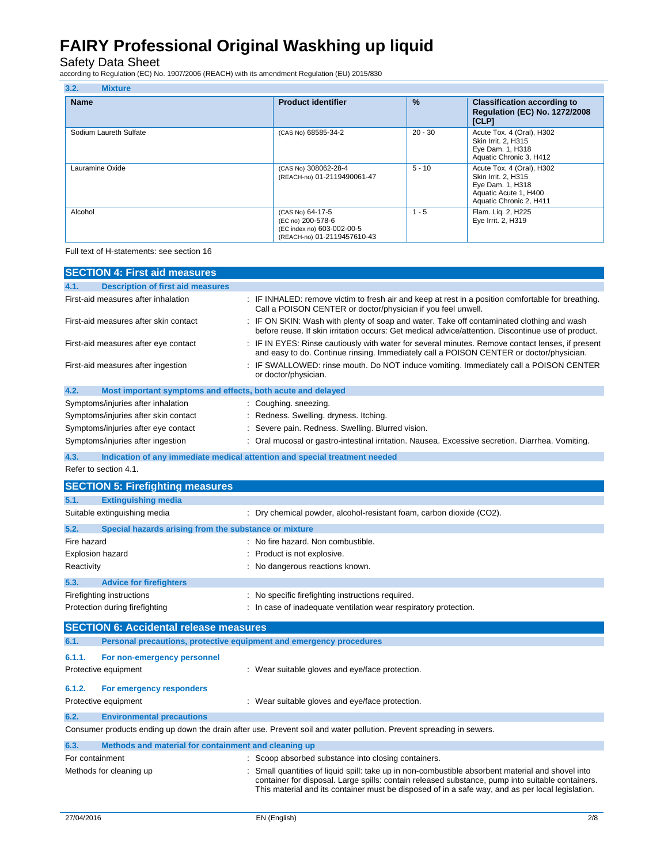Safety Data Sheet according to Regulation (EC) No. 1907/2006 (REACH) with its amendment Regulation (EU) 2015/830

| 3.2.<br><b>Mixture</b> |                                                                                                    |               |                                                                                                                          |  |  |
|------------------------|----------------------------------------------------------------------------------------------------|---------------|--------------------------------------------------------------------------------------------------------------------------|--|--|
| <b>Name</b>            | <b>Product identifier</b>                                                                          | $\frac{9}{6}$ | <b>Classification according to</b><br><b>Regulation (EC) No. 1272/2008</b><br>[CLP]                                      |  |  |
| Sodium Laureth Sulfate | (CAS No) 68585-34-2                                                                                | $20 - 30$     | Acute Tox. 4 (Oral), H302<br>Skin Irrit. 2, H315<br>Eye Dam. 1, H318<br>Aquatic Chronic 3, H412                          |  |  |
| Lauramine Oxide        | (CAS No) 308062-28-4<br>(REACH-no) 01-2119490061-47                                                | $5 - 10$      | Acute Tox. 4 (Oral), H302<br>Skin Irrit. 2, H315<br>Eye Dam. 1, H318<br>Aquatic Acute 1, H400<br>Aquatic Chronic 2, H411 |  |  |
| Alcohol                | (CAS No) 64-17-5<br>(EC no) 200-578-6<br>(EC index no) 603-002-00-5<br>(REACH-no) 01-2119457610-43 | $1 - 5$       | Flam. Lig. 2, H225<br>Eye Irrit. 2, H319                                                                                 |  |  |

Full text of H-statements: see section 16

|      | <b>SECTION 4: First aid measures</b>                        |                                                                                                                                                                                                 |
|------|-------------------------------------------------------------|-------------------------------------------------------------------------------------------------------------------------------------------------------------------------------------------------|
| 4.1. | <b>Description of first aid measures</b>                    |                                                                                                                                                                                                 |
|      | First-aid measures after inhalation                         | IF INHALED: remove victim to fresh air and keep at rest in a position comfortable for breathing.<br>Call a POISON CENTER or doctor/physician if you feel unwell.                                |
|      | First-aid measures after skin contact                       | : IF ON SKIN: Wash with plenty of soap and water. Take off contaminated clothing and wash<br>before reuse. If skin irritation occurs: Get medical advice/attention. Discontinue use of product. |
|      | First-aid measures after eye contact                        | IF IN EYES: Rinse cautiously with water for several minutes. Remove contact lenses, if present<br>and easy to do. Continue rinsing. Immediately call a POISON CENTER or doctor/physician.       |
|      | First-aid measures after ingestion                          | IF SWALLOWED: rinse mouth. Do NOT induce vomiting. Immediately call a POISON CENTER<br>or doctor/physician.                                                                                     |
| 4.2. | Most important symptoms and effects, both acute and delayed |                                                                                                                                                                                                 |
|      | Symptoms/injuries after inhalation                          | : Coughing sneezing.                                                                                                                                                                            |
|      | Symptoms/injuries after skin contact                        | : Redness. Swelling. dryness. Itching.                                                                                                                                                          |
|      | Symptoms/injuries after eye contact                         | Severe pain. Redness. Swelling. Blurred vision.                                                                                                                                                 |
|      | Symptoms/injuries after ingestion                           | : Oral mucosal or gastro-intestinal irritation. Nausea. Excessive secretion. Diarrhea. Vomiting.                                                                                                |
| 4.3. |                                                             | Indication of any immediate medical attention and special treatment needed                                                                                                                      |
|      | Refer to section 4.1.                                       |                                                                                                                                                                                                 |
|      | <b>SECTION 5: Firefighting measures</b>                     |                                                                                                                                                                                                 |
| 5.1. | <b>Extinguishing media</b>                                  |                                                                                                                                                                                                 |
|      | Suitable extinguishing media                                | Dry chemical powder, alcohol-resistant foam, carbon dioxide (CO2).                                                                                                                              |

| 5.2.                           | Special hazards arising from the substance or mixture |  |                                                                  |  |
|--------------------------------|-------------------------------------------------------|--|------------------------------------------------------------------|--|
| Fire hazard                    |                                                       |  | : No fire hazard. Non combustible.                               |  |
| <b>Explosion hazard</b>        |                                                       |  | : Product is not explosive.                                      |  |
| Reactivity                     |                                                       |  | : No dangerous reactions known.                                  |  |
| 5.3.                           | <b>Advice for firefighters</b>                        |  |                                                                  |  |
|                                | Firefighting instructions                             |  | : No specific firefighting instructions required.                |  |
| Protection during firefighting |                                                       |  | : In case of inadequate ventilation wear respiratory protection. |  |
|                                |                                                       |  |                                                                  |  |

|        | <b>SECTION 6: Accidental release measures</b>                                                                                |  |                                                 |  |  |
|--------|------------------------------------------------------------------------------------------------------------------------------|--|-------------------------------------------------|--|--|
| 6.1.   | Personal precautions, protective equipment and emergency procedures                                                          |  |                                                 |  |  |
| 6.1.1. | For non-emergency personnel<br>Protective equipment                                                                          |  | : Wear suitable gloves and eye/face protection. |  |  |
| 6.1.2. | For emergency responders<br>Protective equipment                                                                             |  | : Wear suitable gloves and eye/face protection. |  |  |
| 6.2.   | <b>Environmental precautions</b>                                                                                             |  |                                                 |  |  |
|        | Consumer products ending up down the drain after use. Prevent soil and water pollution. Prevent spreading in sewers.         |  |                                                 |  |  |
| 6.3.   | Methods and material for containment and cleaning up                                                                         |  |                                                 |  |  |
|        | : Scoop absorbed substance into closing containers.<br>For containment                                                       |  |                                                 |  |  |
|        | Methods for cleaning up<br>: Small quantities of liquid spill: take up in non-combustible absorbent material and shovel into |  |                                                 |  |  |

container for disposal. Large spills: contain released substance, pump into suitable containers. This material and its container must be disposed of in a safe way, and as per local legislation.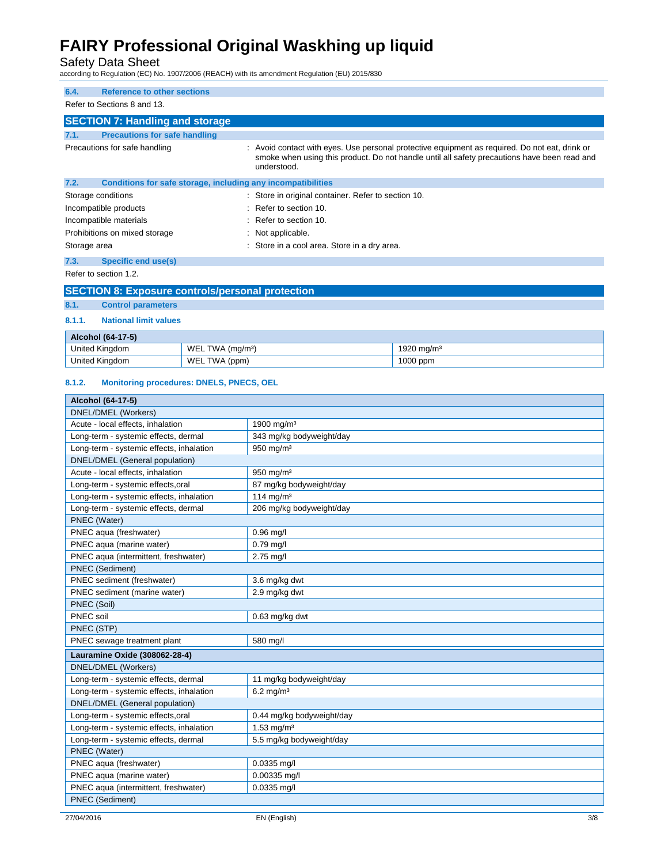Safety Data Sheet according to Regulation (EC) No. 1907/2006 (REACH) with its amendment Regulation (EU) 2015/830

| 6.4.         | <b>Reference to other sections</b>                           |                                                                                                                                                                                                               |
|--------------|--------------------------------------------------------------|---------------------------------------------------------------------------------------------------------------------------------------------------------------------------------------------------------------|
|              | Refer to Sections 8 and 13.                                  |                                                                                                                                                                                                               |
|              | <b>SECTION 7: Handling and storage</b>                       |                                                                                                                                                                                                               |
| 7.1.         | <b>Precautions for safe handling</b>                         |                                                                                                                                                                                                               |
|              | Precautions for safe handling                                | : Avoid contact with eyes. Use personal protective equipment as required. Do not eat, drink or<br>smoke when using this product. Do not handle until all safety precautions have been read and<br>understood. |
| 7.2.         | Conditions for safe storage, including any incompatibilities |                                                                                                                                                                                                               |
|              | Storage conditions                                           | : Store in original container. Refer to section 10.                                                                                                                                                           |
|              | Incompatible products                                        | $:$ Refer to section 10.                                                                                                                                                                                      |
|              | Incompatible materials                                       | $:$ Refer to section 10.                                                                                                                                                                                      |
|              | Prohibitions on mixed storage                                | : Not applicable.                                                                                                                                                                                             |
| Storage area |                                                              | : Store in a cool area. Store in a dry area.                                                                                                                                                                  |
| 7.3.         | Specific end use(s)                                          |                                                                                                                                                                                                               |
|              | Refer to section 1.2.                                        |                                                                                                                                                                                                               |

### **SECTION 8: Exposure controls/personal protection**

## **8.1. Control parameters**

## **8.1.1. National limit values**

| <b>Alcohol (64-17-5)</b> |                                       |                             |  |  |  |  |  |
|--------------------------|---------------------------------------|-----------------------------|--|--|--|--|--|
| <b>United Kingdom</b>    | WEL<br>$(m\alpha/m^3)$<br>TW A<br>. . | $\sim$<br>.920 mg/mª<br>. . |  |  |  |  |  |
| <b>United Kingdom</b>    | WEL<br><b>TWA</b><br>(ppm)            | 1000 ppm                    |  |  |  |  |  |

#### **8.1.2. Monitoring procedures: DNELS, PNECS, OEL**

| Alcohol (64-17-5)                        |                           |  |  |  |  |
|------------------------------------------|---------------------------|--|--|--|--|
| DNEL/DMEL (Workers)                      |                           |  |  |  |  |
| Acute - local effects, inhalation        | 1900 mg/m <sup>3</sup>    |  |  |  |  |
| Long-term - systemic effects, dermal     | 343 mg/kg bodyweight/day  |  |  |  |  |
| Long-term - systemic effects, inhalation | 950 mg/m <sup>3</sup>     |  |  |  |  |
| DNEL/DMEL (General population)           |                           |  |  |  |  |
| Acute - local effects, inhalation        | $950$ mg/m <sup>3</sup>   |  |  |  |  |
| Long-term - systemic effects, oral       | 87 mg/kg bodyweight/day   |  |  |  |  |
| Long-term - systemic effects, inhalation | $114$ mg/m <sup>3</sup>   |  |  |  |  |
| Long-term - systemic effects, dermal     | 206 mg/kg bodyweight/day  |  |  |  |  |
| PNEC (Water)                             |                           |  |  |  |  |
| PNEC aqua (freshwater)                   | $0.96$ mg/l               |  |  |  |  |
| PNEC aqua (marine water)                 | $0.79$ mg/l               |  |  |  |  |
| PNEC aqua (intermittent, freshwater)     | $2.75$ mg/l               |  |  |  |  |
| <b>PNEC</b> (Sediment)                   |                           |  |  |  |  |
| PNEC sediment (freshwater)               | 3.6 mg/kg dwt             |  |  |  |  |
| PNEC sediment (marine water)             | 2.9 mg/kg dwt             |  |  |  |  |
| PNEC (Soil)                              |                           |  |  |  |  |
| PNEC soil                                | $0.63$ mg/kg dwt          |  |  |  |  |
| PNEC (STP)                               |                           |  |  |  |  |
| PNEC sewage treatment plant              | 580 mg/l                  |  |  |  |  |
| Lauramine Oxide (308062-28-4)            |                           |  |  |  |  |
| DNEL/DMEL (Workers)                      |                           |  |  |  |  |
| Long-term - systemic effects, dermal     | 11 mg/kg bodyweight/day   |  |  |  |  |
| Long-term - systemic effects, inhalation | $6.2$ mg/m <sup>3</sup>   |  |  |  |  |
| DNEL/DMEL (General population)           |                           |  |  |  |  |
| Long-term - systemic effects, oral       | 0.44 mg/kg bodyweight/day |  |  |  |  |
| Long-term - systemic effects, inhalation | $1.53 \text{ mg/m}^3$     |  |  |  |  |
| Long-term - systemic effects, dermal     | 5.5 mg/kg bodyweight/day  |  |  |  |  |
| PNEC (Water)                             |                           |  |  |  |  |
| PNEC aqua (freshwater)                   | $0.0335$ mg/l             |  |  |  |  |
| PNEC aqua (marine water)                 | 0.00335 mg/l              |  |  |  |  |
| PNEC aqua (intermittent, freshwater)     | 0.0335 mg/l               |  |  |  |  |
| <b>PNEC</b> (Sediment)                   |                           |  |  |  |  |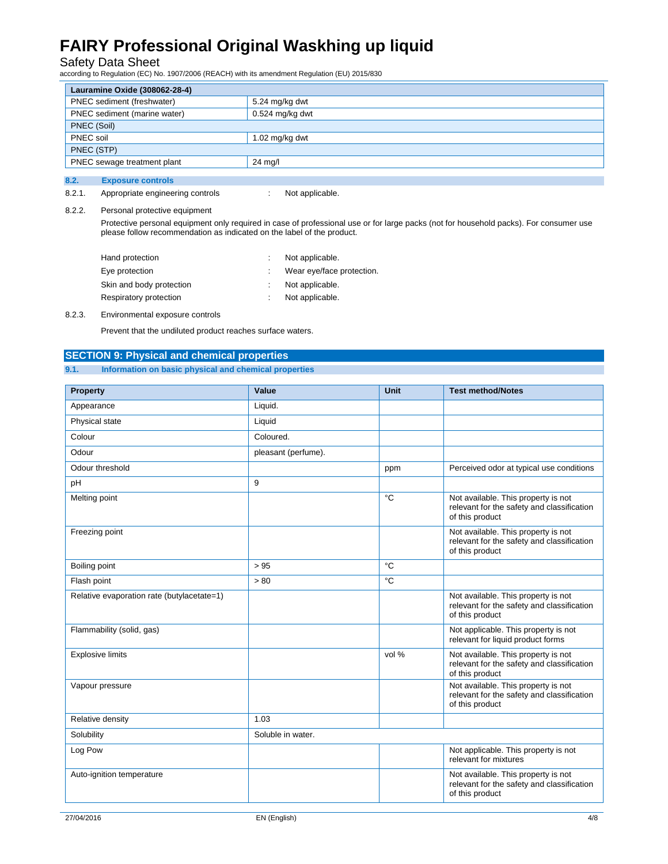Safety Data Sheet according to Regulation (EC) No. 1907/2006 (REACH) with its amendment Regulation (EU) 2015/830

| Lauramine Oxide (308062-28-4)          |                   |  |  |  |
|----------------------------------------|-------------------|--|--|--|
| PNEC sediment (freshwater)             | 5.24 mg/kg dwt    |  |  |  |
| PNEC sediment (marine water)           | $0.524$ mg/kg dwt |  |  |  |
| PNEC (Soil)                            |                   |  |  |  |
| PNEC soil                              | 1.02 $mg/kg$ dwt  |  |  |  |
| PNEC (STP)                             |                   |  |  |  |
| PNEC sewage treatment plant<br>24 mg/l |                   |  |  |  |
|                                        |                   |  |  |  |
| 8.2.<br><b>Exposure controls</b>       |                   |  |  |  |

## 8.2.1. Appropriate engineering controls : Not applicable.

### 8.2.2. Personal protective equipment

 Protective personal equipment only required in case of professional use or for large packs (not for household packs). For consumer use please follow recommendation as indicated on the label of the product.

| Hand protection          |  | Not applicable.           |
|--------------------------|--|---------------------------|
| Eye protection           |  | Wear eye/face protection. |
| Skin and body protection |  | Not applicable.           |
| Respiratory protection   |  | Not applicable.           |

### 8.2.3. Environmental exposure controls

Prevent that the undiluted product reaches surface waters.

### **SECTION 9: Physical and chemical properties**

### **9.1. Information on basic physical and chemical properties**

| <b>Property</b>                            | Value               | Unit  | <b>Test method/Notes</b>                                                                             |
|--------------------------------------------|---------------------|-------|------------------------------------------------------------------------------------------------------|
| Appearance                                 | Liquid.             |       |                                                                                                      |
| Physical state                             | Liquid              |       |                                                                                                      |
| Colour                                     | Coloured.           |       |                                                                                                      |
| Odour                                      | pleasant (perfume). |       |                                                                                                      |
| Odour threshold                            |                     | ppm   | Perceived odor at typical use conditions                                                             |
| pH                                         | 9                   |       |                                                                                                      |
| Melting point                              |                     | °C    | Not available. This property is not<br>relevant for the safety and classification<br>of this product |
| Freezing point                             |                     |       | Not available. This property is not<br>relevant for the safety and classification<br>of this product |
| Boiling point                              | > 95                | °C    |                                                                                                      |
| Flash point                                | > 80                | °C    |                                                                                                      |
| Relative evaporation rate (butylacetate=1) |                     |       | Not available. This property is not<br>relevant for the safety and classification<br>of this product |
| Flammability (solid, gas)                  |                     |       | Not applicable. This property is not<br>relevant for liquid product forms                            |
| <b>Explosive limits</b>                    |                     | vol % | Not available. This property is not<br>relevant for the safety and classification<br>of this product |
| Vapour pressure                            |                     |       | Not available. This property is not<br>relevant for the safety and classification<br>of this product |
| Relative density                           | 1.03                |       |                                                                                                      |
| Solubility                                 | Soluble in water.   |       |                                                                                                      |
| Log Pow                                    |                     |       | Not applicable. This property is not<br>relevant for mixtures                                        |
| Auto-ignition temperature                  |                     |       | Not available. This property is not<br>relevant for the safety and classification<br>of this product |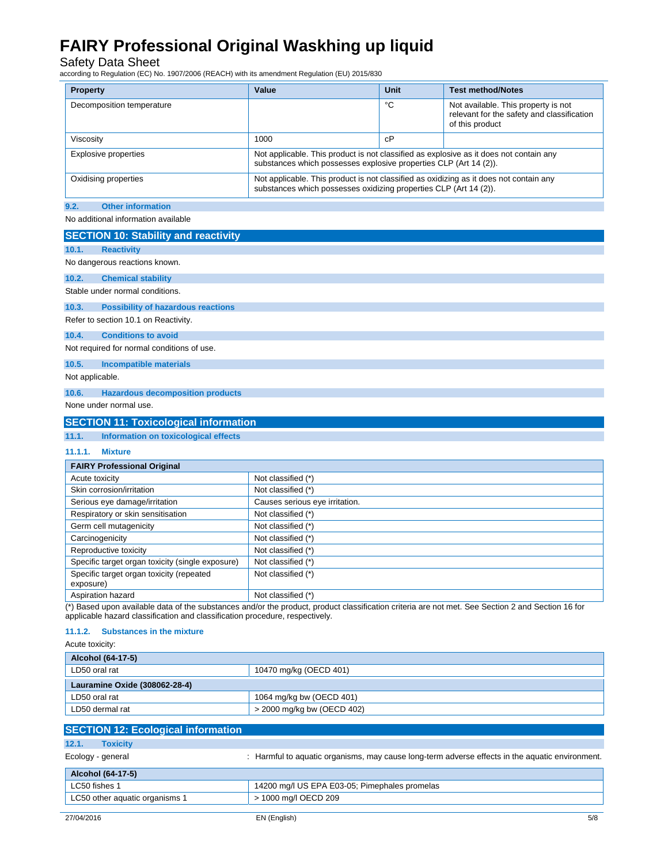Safety Data Sheet according to Regulation (EC) No. 1907/2006 (REACH) with its amendment Regulation (EU) 2015/830

| <b>Property</b>                  | Value                                                                                                                                                       | <b>Unit</b> | <b>Test method/Notes</b>                                                                             |
|----------------------------------|-------------------------------------------------------------------------------------------------------------------------------------------------------------|-------------|------------------------------------------------------------------------------------------------------|
| Decomposition temperature        |                                                                                                                                                             | °С          | Not available. This property is not<br>relevant for the safety and classification<br>of this product |
| Viscosity                        | 1000                                                                                                                                                        | сP          |                                                                                                      |
| <b>Explosive properties</b>      | Not applicable. This product is not classified as explosive as it does not contain any<br>substances which possesses explosive properties CLP (Art 14 (2)). |             |                                                                                                      |
| Oxidising properties             | Not applicable. This product is not classified as oxidizing as it does not contain any<br>substances which possesses oxidizing properties CLP (Art 14 (2)). |             |                                                                                                      |
| 9.2.<br><b>Other information</b> |                                                                                                                                                             |             |                                                                                                      |

No additional information available

| <b>SECTION 10: Stability and reactivity</b>           |                                |  |  |
|-------------------------------------------------------|--------------------------------|--|--|
| <b>Reactivity</b><br>10.1.                            |                                |  |  |
| No dangerous reactions known.                         |                                |  |  |
| 10.2.<br><b>Chemical stability</b>                    |                                |  |  |
| Stable under normal conditions.                       |                                |  |  |
| 10.3.<br><b>Possibility of hazardous reactions</b>    |                                |  |  |
| Refer to section 10.1 on Reactivity.                  |                                |  |  |
| 10.4.<br><b>Conditions to avoid</b>                   |                                |  |  |
| Not required for normal conditions of use.            |                                |  |  |
| 10.5.<br><b>Incompatible materials</b>                |                                |  |  |
| Not applicable.                                       |                                |  |  |
| <b>Hazardous decomposition products</b><br>10.6.      |                                |  |  |
| None under normal use.                                |                                |  |  |
| <b>SECTION 11: Toxicological information</b>          |                                |  |  |
| 11.1.<br>Information on toxicological effects         |                                |  |  |
| 11.1.1.<br><b>Mixture</b>                             |                                |  |  |
| <b>FAIRY Professional Original</b>                    |                                |  |  |
| Acute toxicity                                        | Not classified (*)             |  |  |
| Skin corrosion/irritation                             | Not classified (*)             |  |  |
| Serious eye damage/irritation                         | Causes serious eye irritation. |  |  |
| Respiratory or skin sensitisation                     | Not classified (*)             |  |  |
| Germ cell mutagenicity                                | Not classified (*)             |  |  |
| Carcinogenicity                                       | Not classified (*)             |  |  |
| Reproductive toxicity                                 | Not classified (*)             |  |  |
| Specific target organ toxicity (single exposure)      | Not classified (*)             |  |  |
| Specific target organ toxicity (repeated<br>exposure) | Not classified (*)             |  |  |
| Aspiration hazard                                     | Not classified (*)             |  |  |

(\*) Based upon available data of the substances and/or the product, product classification criteria are not met. See Section 2 and Section 16 for applicable hazard classification and classification procedure, respectively.

#### **11.1.2. Substances in the mixture**

| Alcohol (64-17-5)             |                            |  |
|-------------------------------|----------------------------|--|
| LD50 oral rat                 | 10470 mg/kg (OECD 401)     |  |
| Lauramine Oxide (308062-28-4) |                            |  |
| LD50 oral rat                 | 1064 mg/kg bw (OECD 401)   |  |
| LD50 dermal rat               | > 2000 mg/kg bw (OECD 402) |  |

| <b>SECTION 12: Ecological information</b> |                                                                                                 |
|-------------------------------------------|-------------------------------------------------------------------------------------------------|
| 12.1.<br><b>Toxicity</b>                  |                                                                                                 |
| Ecology - general                         | : Harmful to aquatic organisms, may cause long-term adverse effects in the aquatic environment. |
| Alcohol (64-17-5)                         |                                                                                                 |
| LC50 fishes 1                             | 14200 mg/l US EPA E03-05; Pimephales promelas                                                   |
| LC50 other aquatic organisms 1            | > 1000 mg/l OECD 209                                                                            |
|                                           |                                                                                                 |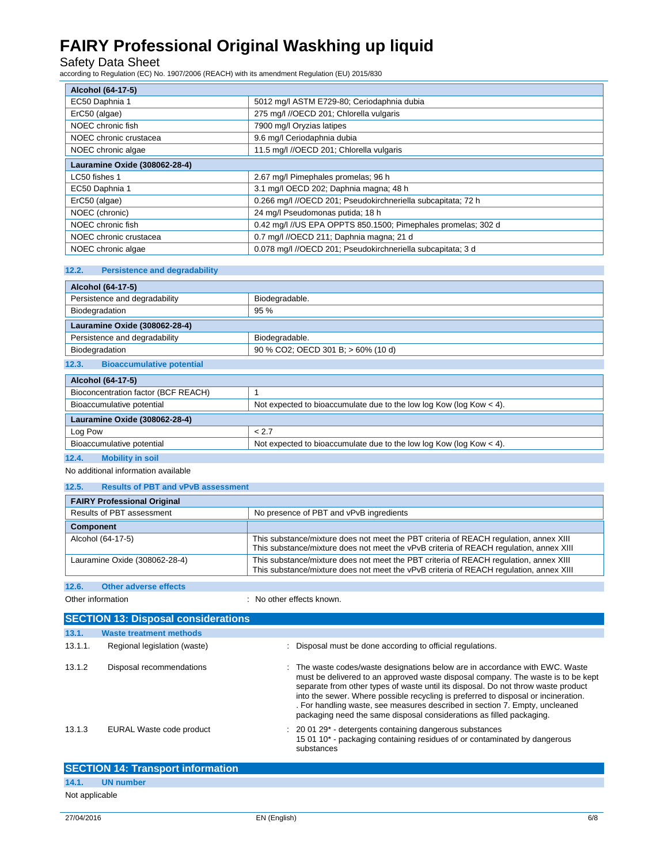Safety Data Sheet according to Regulation (EC) No. 1907/2006 (REACH) with its amendment Regulation (EU) 2015/830

| Alcohol (64-17-5)             |                                                               |  |
|-------------------------------|---------------------------------------------------------------|--|
| EC50 Daphnia 1                | 5012 mg/l ASTM E729-80; Ceriodaphnia dubia                    |  |
| ErC50 (algae)                 | 275 mg/l //OECD 201; Chlorella vulgaris                       |  |
| NOEC chronic fish             | 7900 mg/l Oryzias latipes                                     |  |
| NOEC chronic crustacea        | 9.6 mg/l Ceriodaphnia dubia                                   |  |
| NOEC chronic algae            | 11.5 mg/l //OECD 201; Chlorella vulgaris                      |  |
| Lauramine Oxide (308062-28-4) |                                                               |  |
| LC50 fishes 1                 | 2.67 mg/l Pimephales promelas; 96 h                           |  |
| EC50 Daphnia 1                | 3.1 mg/l OECD 202; Daphnia magna; 48 h                        |  |
| ErC50 (algae)                 | 0.266 mg/l //OECD 201; Pseudokirchneriella subcapitata; 72 h  |  |
| NOEC (chronic)                | 24 mg/l Pseudomonas putida; 18 h                              |  |
| NOEC chronic fish             | 0.42 mg/l //US EPA OPPTS 850.1500; Pimephales promelas; 302 d |  |
| NOEC chronic crustacea        | 0.7 mg/l //OECD 211; Daphnia magna; 21 d                      |  |
| NOEC chronic algae            | 0.078 mg/l //OECD 201; Pseudokirchneriella subcapitata; 3 d   |  |

### **12.2. Persistence and degradability**

| Alcohol (64-17-5)                         |                                    |  |
|-------------------------------------------|------------------------------------|--|
| Persistence and degradability             | Biodegradable.                     |  |
| Biodegradation                            | 95%                                |  |
| Lauramine Oxide (308062-28-4)             |                                    |  |
| Persistence and degradability             | Biodegradable.                     |  |
| Biodegradation                            | 90 % CO2; OECD 301 B; > 60% (10 d) |  |
| 12.3.<br><b>Bioaccumulative potential</b> |                                    |  |

| Alcohol (64-17-5)                                                     |  |  |
|-----------------------------------------------------------------------|--|--|
|                                                                       |  |  |
| Not expected to bioaccumulate due to the low log Kow (log Kow $<$ 4). |  |  |
| Lauramine Oxide (308062-28-4)                                         |  |  |
| < 2.7                                                                 |  |  |
| Not expected to bioaccumulate due to the low log Kow (log Kow $<$ 4). |  |  |
|                                                                       |  |  |

### **12.4. Mobility in soil**

No additional information available

#### **12.5. Results of PBT and vPvB assessment**

| <b>FAIRY Professional Original</b> |                                                                                                                                                                                 |  |
|------------------------------------|---------------------------------------------------------------------------------------------------------------------------------------------------------------------------------|--|
| Results of PBT assessment          | No presence of PBT and vPvB ingredients                                                                                                                                         |  |
| <b>Component</b>                   |                                                                                                                                                                                 |  |
| Alcohol (64-17-5)                  | This substance/mixture does not meet the PBT criteria of REACH regulation, annex XIII<br>This substance/mixture does not meet the vPvB criteria of REACH regulation, annex XIII |  |
| Lauramine Oxide (308062-28-4)      | This substance/mixture does not meet the PBT criteria of REACH regulation, annex XIII<br>This substance/mixture does not meet the vPvB criteria of REACH regulation, annex XIII |  |
| 12.6.<br>Other adverse effects     |                                                                                                                                                                                 |  |

Other information  $\qquad \qquad$ : No other effects known.

|         | <b>SECTION 13: Disposal considerations</b> |                                                                                                                                                                                                                                                                                                                                                                                                                                                                                                  |  |
|---------|--------------------------------------------|--------------------------------------------------------------------------------------------------------------------------------------------------------------------------------------------------------------------------------------------------------------------------------------------------------------------------------------------------------------------------------------------------------------------------------------------------------------------------------------------------|--|
| 13.1.   | <b>Waste treatment methods</b>             |                                                                                                                                                                                                                                                                                                                                                                                                                                                                                                  |  |
| 13.1.1. | Regional legislation (waste)               | Disposal must be done according to official regulations.                                                                                                                                                                                                                                                                                                                                                                                                                                         |  |
| 13.1.2  | Disposal recommendations                   | The waste codes/waste designations below are in accordance with EWC. Waste<br>must be delivered to an approved waste disposal company. The waste is to be kept<br>separate from other types of waste until its disposal. Do not throw waste product<br>into the sewer. Where possible recycling is preferred to disposal or incineration.<br>. For handling waste, see measures described in section 7. Empty, uncleaned<br>packaging need the same disposal considerations as filled packaging. |  |
| 13.1.3  | EURAL Waste code product                   | $\therefore$ 20 01 29 $^*$ - detergents containing dangerous substances<br>15 01 10* - packaging containing residues of or contaminated by dangerous<br>substances                                                                                                                                                                                                                                                                                                                               |  |
|         | <b>SECTION 14: Transport information</b>   |                                                                                                                                                                                                                                                                                                                                                                                                                                                                                                  |  |

Not applicable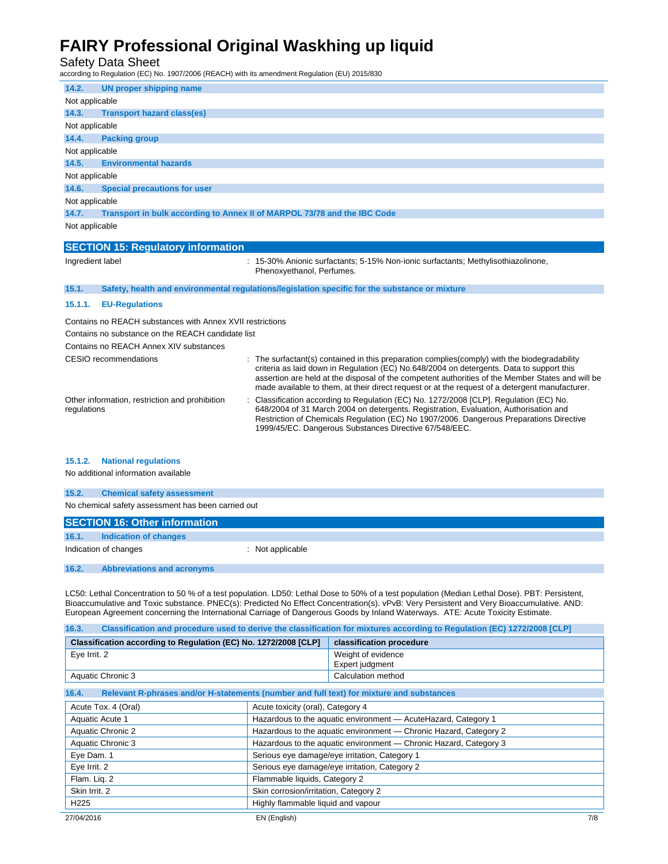Safety Data Sheet according to Regulation (EC) No. 1907/2006 (REACH) with its amendment Regulation (EU) 2015/830

| 14.2.                                                     | UN proper shipping name                                                                                        |  |
|-----------------------------------------------------------|----------------------------------------------------------------------------------------------------------------|--|
| Not applicable                                            |                                                                                                                |  |
| 14.3.                                                     | <b>Transport hazard class(es)</b>                                                                              |  |
| Not applicable                                            |                                                                                                                |  |
| 14.4.                                                     | <b>Packing group</b>                                                                                           |  |
| Not applicable                                            |                                                                                                                |  |
| 14.5.                                                     | <b>Environmental hazards</b>                                                                                   |  |
| Not applicable                                            |                                                                                                                |  |
| 14.6.                                                     | <b>Special precautions for user</b>                                                                            |  |
| Not applicable                                            |                                                                                                                |  |
| 14.7.                                                     | Transport in bulk according to Annex II of MARPOL 73/78 and the IBC Code                                       |  |
| Not applicable                                            |                                                                                                                |  |
|                                                           | <b>SECTION 15: Regulatory information</b>                                                                      |  |
| Ingredient label                                          | : 15-30% Anionic surfactants; 5-15% Non-ionic surfactants; Methylisothiazolinone,<br>Phenoxyethanol, Perfumes. |  |
| 15.1.                                                     | Safety, health and environmental regulations/legislation specific for the substance or mixture                 |  |
| 15.1.1.                                                   | <b>EU-Regulations</b>                                                                                          |  |
| Contains no REACH substances with Annex XVII restrictions |                                                                                                                |  |
| Contains no substance on the REACH candidate list         |                                                                                                                |  |
| Contains no REACH Annex XIV substances                    |                                                                                                                |  |

| CESIO recommendations                                         | : The surfactant(s) contained in this preparation complies(comply) with the biodegradability<br>criteria as laid down in Regulation (EC) No.648/2004 on detergents. Data to support this<br>assertion are held at the disposal of the competent authorities of the Member States and will be<br>made available to them, at their direct request or at the request of a detergent manufacturer. |
|---------------------------------------------------------------|------------------------------------------------------------------------------------------------------------------------------------------------------------------------------------------------------------------------------------------------------------------------------------------------------------------------------------------------------------------------------------------------|
| Other information, restriction and prohibition<br>regulations | Classification according to Regulation (EC) No. 1272/2008 [CLP]. Regulation (EC) No.<br>648/2004 of 31 March 2004 on detergents. Registration, Evaluation, Authorisation and<br>Restriction of Chemicals Regulation (EC) No 1907/2006. Dangerous Preparations Directive<br>1999/45/EC. Dangerous Substances Directive 67/548/EEC.                                                              |

#### **15.1.2. National regulations**

No additional information available

| 15.2. | <b>Chemical safety assessment</b>                  |                  |  |
|-------|----------------------------------------------------|------------------|--|
|       | No chemical safety assessment has been carried out |                  |  |
|       | <b>SECTION 16: Other information</b>               |                  |  |
| 16.1. | Indication of changes                              |                  |  |
|       | Indication of changes                              | : Not applicable |  |

**16.2. Abbreviations and acronyms** 

LC50: Lethal Concentration to 50 % of a test population. LD50: Lethal Dose to 50% of a test population (Median Lethal Dose). PBT: Persistent, Bioaccumulative and Toxic substance. PNEC(s): Predicted No Effect Concentration(s). vPvB: Very Persistent and Very Bioaccumulative. AND: European Agreement concerning the International Carriage of Dangerous Goods by Inland Waterways. ATE: Acute Toxicity Estimate.

| Classification and procedure used to derive the classification for mixtures according to Regulation (EC) 1272/2008 [CLP]<br>16.3. |                                                                   |                          |  |
|-----------------------------------------------------------------------------------------------------------------------------------|-------------------------------------------------------------------|--------------------------|--|
| Classification according to Regulation (EC) No. 1272/2008 [CLP]                                                                   |                                                                   | classification procedure |  |
| Eye Irrit. 2                                                                                                                      |                                                                   | Weight of evidence       |  |
|                                                                                                                                   |                                                                   | Expert judgment          |  |
| Aquatic Chronic 3                                                                                                                 |                                                                   | Calculation method       |  |
| Relevant R-phrases and/or H-statements (number and full text) for mixture and substances<br>16.4.                                 |                                                                   |                          |  |
| Acute Tox. 4 (Oral)                                                                                                               | Acute toxicity (oral), Category 4                                 |                          |  |
| Aquatic Acute 1                                                                                                                   | Hazardous to the aquatic environment - Acute Hazard, Category 1   |                          |  |
| Aquatic Chronic 2                                                                                                                 | Hazardous to the aquatic environment - Chronic Hazard, Category 2 |                          |  |
| Aquatic Chronic 3                                                                                                                 | Hazardous to the aquatic environment - Chronic Hazard, Category 3 |                          |  |
| Eye Dam. 1                                                                                                                        | Serious eye damage/eye irritation, Category 1                     |                          |  |
| Eye Irrit. 2                                                                                                                      | Serious eye damage/eye irritation, Category 2                     |                          |  |
| Flam. Lig. 2                                                                                                                      | Flammable liquids, Category 2                                     |                          |  |
| Skin Irrit, 2                                                                                                                     | Skin corrosion/irritation, Category 2                             |                          |  |
| H <sub>225</sub>                                                                                                                  | Highly flammable liquid and vapour                                |                          |  |